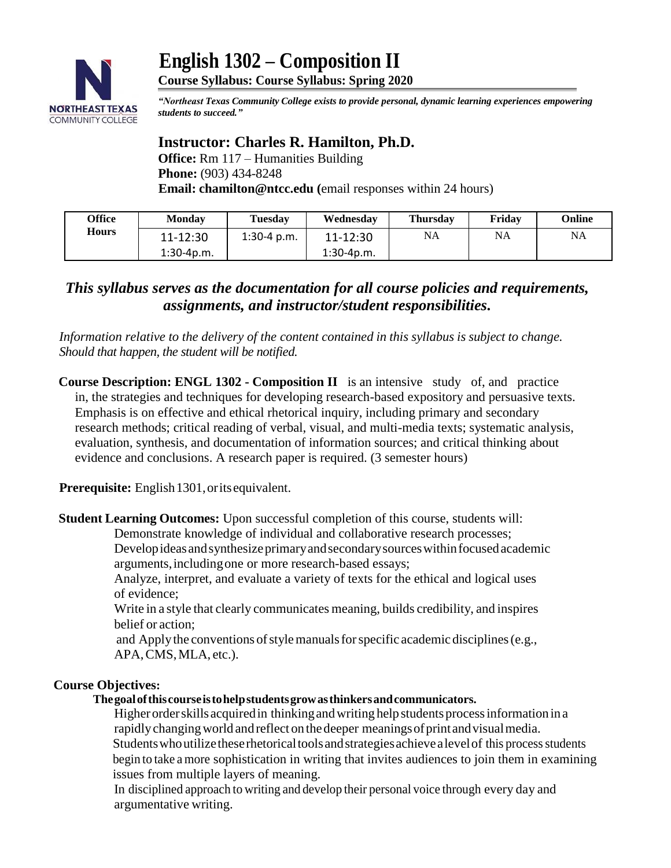

 **English 1302 – Composition II Course Syllabus: Course Syllabus: Spring 2020**

*"Northeast Texas Community College exists to provide personal, dynamic learning experiences empowering students to succeed."*

# **Instructor: Charles R. Hamilton, Ph.D.**

**Office:** Rm 117 – Humanities Building **Phone:** (903) 434-8248  **Email: chamilton@ntcc.edu (**email responses within 24 hours)

| Office       | <b>Monday</b> | <b>Tuesday</b> | Wednesday    | <b>Thursday</b> | Friday    | Online    |
|--------------|---------------|----------------|--------------|-----------------|-----------|-----------|
| <b>Hours</b> | 11-12:30      | $1:30-4$ p.m.  | 11-12:30     | <b>NA</b>       | <b>NA</b> | <b>NA</b> |
|              | $1:30-4p.m.$  |                | $1:30-4p.m.$ |                 |           |           |

# *This syllabus serves as the documentation for all course policies and requirements, assignments, and instructor/student responsibilities.*

*Information relative to the delivery of the content contained in this syllabus is subject to change. Should that happen, the student will be notified.*

**Course Description: ENGL 1302 - Composition II** is an intensive study of, and practice in, the strategies and techniques for developing research-based expository and persuasive texts. Emphasis is on effective and ethical rhetorical inquiry, including primary and secondary research methods; critical reading of verbal, visual, and multi-media texts; systematic analysis, evaluation, synthesis, and documentation of information sources; and critical thinking about evidence and conclusions. A research paper is required. (3 semester hours)

**Prerequisite:** English1301,oritsequivalent.

**Student Learning Outcomes:** Upon successful completion of this course, students will:

Demonstrate knowledge of individual and collaborative research processes;

Developideas and synthesize primary and secondary sources within focused academic arguments,includingone or more research-based essays;

Analyze, interpret, and evaluate a variety of texts for the ethical and logical uses of evidence;

Write in a style that clearly communicates meaning, builds credibility, and inspires belief or action;

and Apply the conventions of style manuals for specific academic disciplines (e.g., APA,CMS,MLA, etc.).

# **Course Objectives:**

# **Thegoalofthiscourseistohelpstudentsgrowasthinkersandcommunicators.**

Higher order skills acquired in thinking and writing help students process information in a rapidly changing world and reflect on the deeper meanings of print and visual media. Students who utilize these rhetorical tools and strategies achieve a level of this process students begin to take a more sophistication in writing that invites audiences to join them in examining issues from multiple layers of meaning.

In disciplined approach to writing and develop their personal voice through every day and argumentative writing.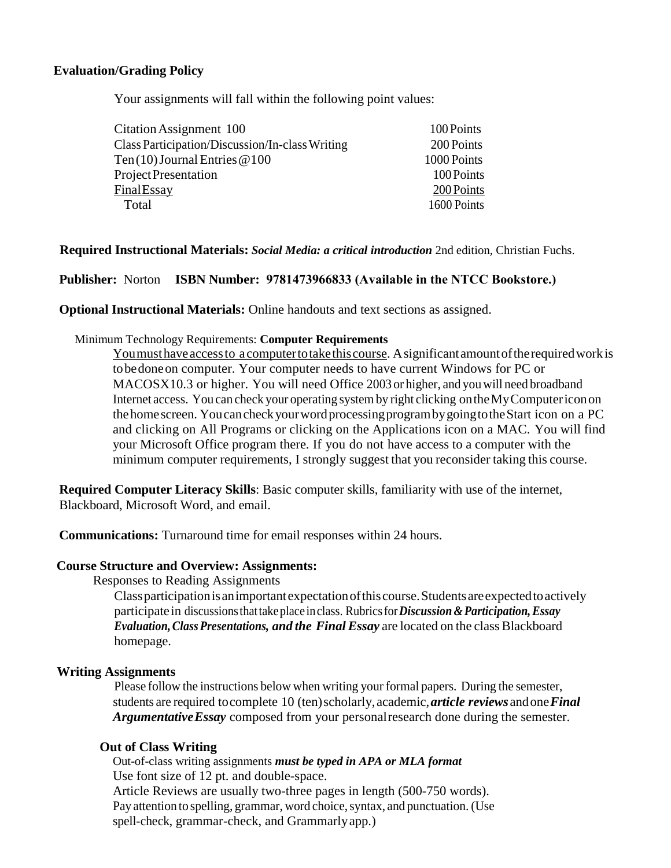#### **Evaluation/Grading Policy**

Your assignments will fall within the following point values:

| 100 Points  |
|-------------|
| 200 Points  |
| 1000 Points |
| 100 Points  |
| 200 Points  |
| 1600 Points |
|             |

#### **Required Instructional Materials:** *Social Media: a critical introduction* 2nd edition, Christian Fuchs.

#### **Publisher:** Norton **ISBN Number: 9781473966833 (Available in the NTCC Bookstore.)**

**Optional Instructional Materials:** Online handouts and text sections as assigned.

#### Minimum Technology Requirements: **Computer Requirements**

Youmusthaveaccessto a computertotakethiscourse. Asignificantamountoftherequiredworkis tobedoneon computer. Your computer needs to have current Windows for PC or MACOSX10.3 or higher. You will need Office 2003 or higher, and youwill need broadband Internet access. You can check your operating system by right clicking ontheMyComputericonon thehomescreen. YoucancheckyourwordprocessingprogrambygoingtotheStart icon on a PC and clicking on All Programs or clicking on the Applications icon on a MAC. You will find your Microsoft Office program there. If you do not have access to a computer with the minimum computer requirements, I strongly suggest that you reconsider taking this course.

**Required Computer Literacy Skills**: Basic computer skills, familiarity with use of the internet, Blackboard, Microsoft Word, and email.

**Communications:** Turnaround time for email responses within 24 hours.

#### **Course Structure and Overview: Assignments:**

Responses to Reading Assignments

Classparticipationisanimportantexpectationofthiscourse.Studentsareexpectedtoactively participatein discussionsthattakeplace inclass. Rubricsfor*Discussion&Participation,Essay Evaluation,ClassPresentations, and the Final Essay* are located on the class Blackboard homepage.

#### **Writing Assignments**

Please follow the instructions below when writing your formal papers. During the semester, students are required tocomplete 10 (ten)scholarly, academic,*article reviews* andone*Final ArgumentativeEssay* composed from your personalresearch done during the semester.

#### **Out of Class Writing**

Out-of-class writing assignments *must be typed in APA or MLA format* Use font size of 12 pt. and double-space. Article Reviews are usually two-three pages in length (500-750 words). Pay attention to spelling, grammar, word choice, syntax, and punctuation. (Use spell-check, grammar-check, and Grammarlyapp.)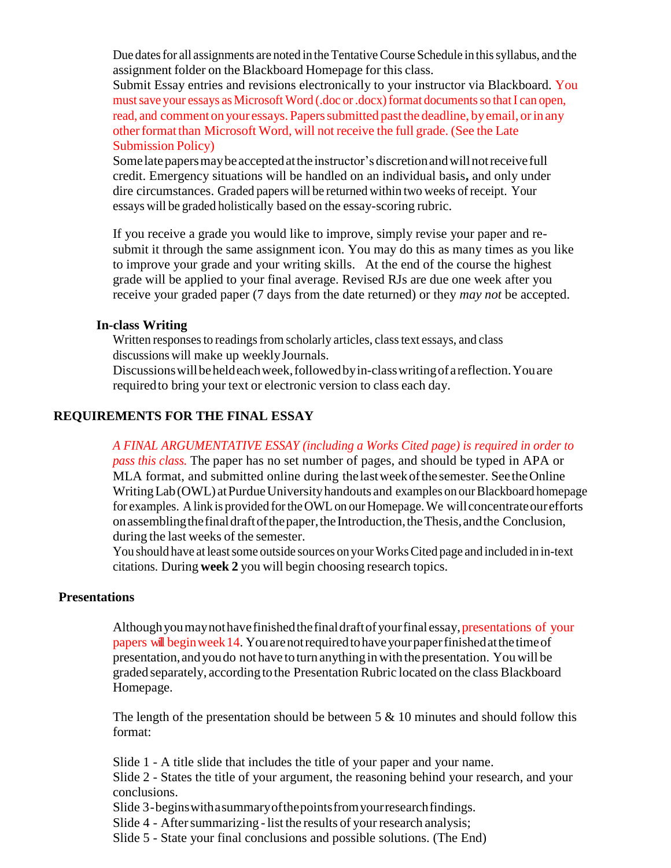Due dates for all assignments are noted in the Tentative Course Schedule in this syllabus, and the assignment folder on the Blackboard Homepage for this class.

Submit Essay entries and revisions electronically to your instructor via Blackboard. You must save your essays as Microsoft Word (.doc or .docx) format documents so that I can open, read, and comment on your essays. Papers submitted past the deadline, by email, or in any other format than Microsoft Word, will not receive the full grade. (See the Late Submission Policy)

Some late papers may be accepted at the instructor's discretion and will not receive full credit. Emergency situations will be handled on an individual basis**,** and only under dire circumstances. Graded papers will be returned within two weeks of receipt. Your essays will be graded holistically based on the essay-scoring rubric.

If you receive a grade you would like to improve, simply revise your paper and resubmit it through the same assignment icon. You may do this as many times as you like to improve your grade and your writing skills. At the end of the course the highest grade will be applied to your final average. Revised RJs are due one week after you receive your graded paper (7 days from the date returned) or they *may not* be accepted.

### **In-class Writing**

Written responses to readings from scholarly articles, class text essays, and class discussions will make up weeklyJournals.

Discussionswillbeheldeachweek,followedbyin-classwritingofareflection.Youare requiredto bring your text or electronic version to class each day.

# **REQUIREMENTS FOR THE FINAL ESSAY**

*A FINAL ARGUMENTATIVE ESSAY (including a Works Cited page) is required in order to pass this class.* The paper has no set number of pages, and should be typed in APA or MLA format, and submitted online during thelastweekofthe semester. SeetheOnline Writing Lab (OWL) at Purdue University handouts and examples on our Blackboard homepage for examples. Alink is provided forthe OWLon our Homepage.We willconcentrateourefforts onassemblingthefinaldraftofthepaper,theIntroduction,theThesis,andthe Conclusion, during the last weeks of the semester.

You should have at leastsome outside sources on yourWorksCited page and included in in-text citations. During **week 2** you will begin choosing research topics.

# **Presentations**

Although you may not have finished the final draft of your final essay, presentations of your papers will beginweek14. Youarenotrequiredtohaveyourpaperfinishedatthetimeof presentation,andyoudo not have to turn anythinginwith the presentation. Youwill be graded separately, accordingto the Presentation Rubric located on the class Blackboard Homepage.

The length of the presentation should be between  $5 \& 10$  minutes and should follow this format:

Slide 1 - A title slide that includes the title of your paper and your name.

Slide 2 - States the title of your argument, the reasoning behind your research, and your conclusions.

Slide 3-beginswithasummaryofthepointsfromyourresearchfindings.

Slide 4 - After summarizing - list the results of your research analysis;

Slide 5 - State your final conclusions and possible solutions. (The End)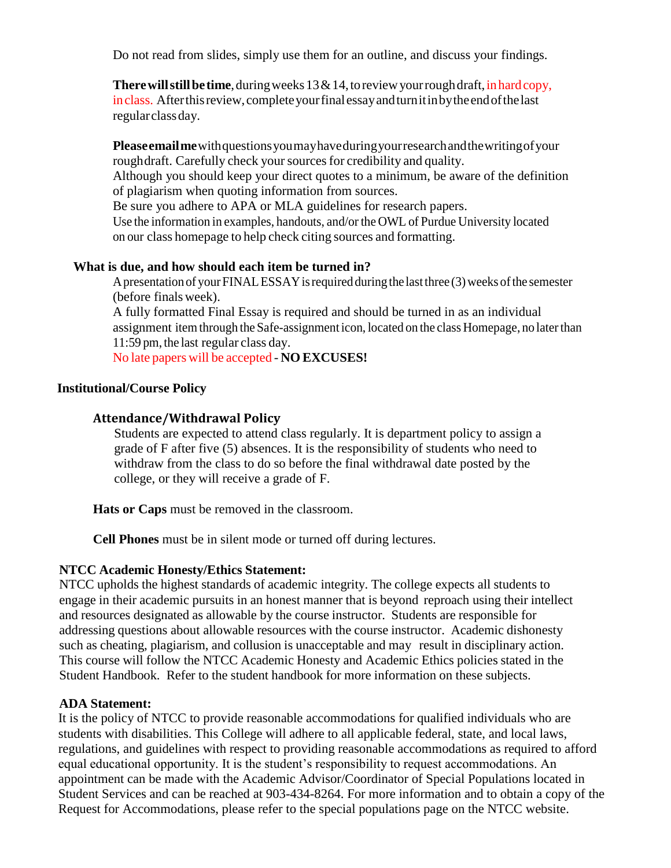Do not read from slides, simply use them for an outline, and discuss your findings.

**There will still be time**, during weeks  $13 \& 14$ , to review your rough draft, in hard copy, inclass. Afterthisreview,completeyourfinalessayandturnitinbytheendofthelast regularclassday.

**Pleaseemailme**withquestionsyoumayhaveduringyourresearchandthewritingofyour roughdraft. Carefully check your sources for credibility and quality. Although you should keep your direct quotes to a minimum, be aware of the definition of plagiarism when quoting information from sources.

Be sure you adhere to APA or MLA guidelines for research papers.

Use the information in examples, handouts, and/or the OWL of Purdue University located on our class homepage to help check citing sources and formatting.

# **What is due, and how should each item be turned in?**

A presentation of your FINAL ESSAY is required during the last three (3) weeks of the semester (before finalsweek).

A fully formatted Final Essay is required and should be turned in as an individual assignment itemthrough the Safe-assignment icon, located on the class Homepage, no laterthan 11:59 pm, the last regular class day.

No late papers will be accepted - **NO EXCUSES!**

### **Institutional/Course Policy**

# **Attendance/Withdrawal Policy**

Students are expected to attend class regularly. It is department policy to assign a grade of F after five (5) absences. It is the responsibility of students who need to withdraw from the class to do so before the final withdrawal date posted by the college, or they will receive a grade of F.

**Hats or Caps** must be removed in the classroom.

**Cell Phones** must be in silent mode or turned off during lectures.

# **NTCC Academic Honesty/Ethics Statement:**

NTCC upholds the highest standards of academic integrity. The college expects all students to engage in their academic pursuits in an honest manner that is beyond reproach using their intellect and resources designated as allowable by the course instructor. Students are responsible for addressing questions about allowable resources with the course instructor. Academic dishonesty such as cheating, plagiarism, and collusion is unacceptable and may result in disciplinary action. This course will follow the NTCC Academic Honesty and Academic Ethics policies stated in the Student Handbook. Refer to the student handbook for more information on these subjects.

# **ADA Statement:**

It is the policy of NTCC to provide reasonable accommodations for qualified individuals who are students with disabilities. This College will adhere to all applicable federal, state, and local laws, regulations, and guidelines with respect to providing reasonable accommodations as required to afford equal educational opportunity. It is the student's responsibility to request accommodations. An appointment can be made with the Academic Advisor/Coordinator of Special Populations located in Student Services and can be reached at 903-434-8264. For more information and to obtain a copy of the Request for Accommodations, please refer to the special populations page on the NTCC websit[e.](http://www.ntcc.edu/index.php?module=Pagesetter&func=viewpub&tid=111&pid=1)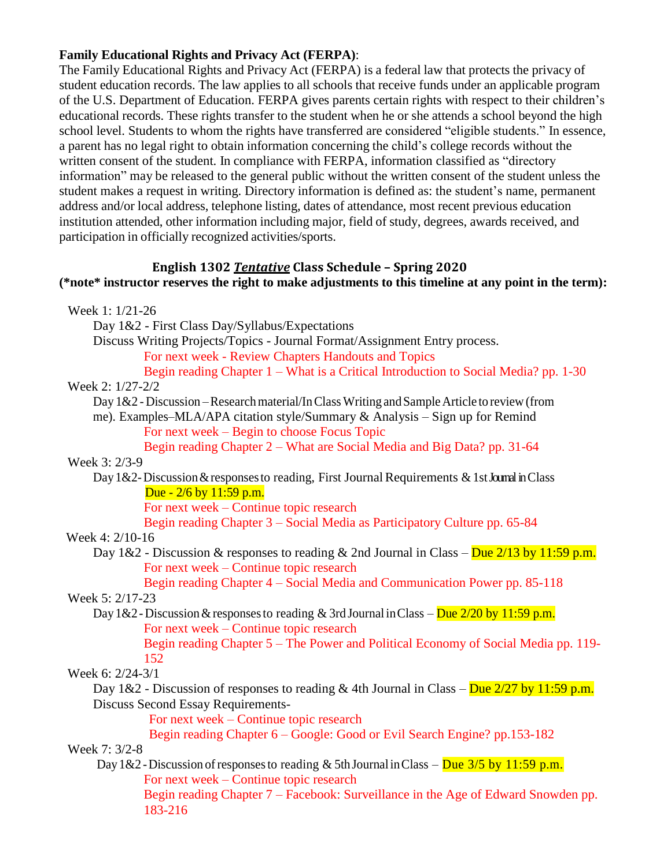# **Family Educational Rights and Privacy Act (FERPA)**:

The Family Educational Rights and Privacy Act (FERPA) is a federal law that protects the privacy of student education records. The law applies to all schools that receive funds under an applicable program of the U.S. Department of Education. FERPA gives parents certain rights with respect to their children's educational records. These rights transfer to the student when he or she attends a school beyond the high school level. Students to whom the rights have transferred are considered "eligible students." In essence, a parent has no legal right to obtain information concerning the child's college records without the written consent of the student. In compliance with FERPA, information classified as "directory information" may be released to the general public without the written consent of the student unless the student makes a request in writing. Directory information is defined as: the student's name, permanent address and/or local address, telephone listing, dates of attendance, most recent previous education institution attended, other information including major, field of study, degrees, awards received, and participation in officially recognized activities/sports.

# **English 1302** *Tentative* **Class Schedule – Spring 2020**

# **(\*note\* instructor reserves the right to make adjustments to this timeline at any point in the term):**

| Week 1: 1/21-26                                                                                        |
|--------------------------------------------------------------------------------------------------------|
| Day 1&2 - First Class Day/Syllabus/Expectations                                                        |
| Discuss Writing Projects/Topics - Journal Format/Assignment Entry process.                             |
| For next week - Review Chapters Handouts and Topics                                                    |
| Begin reading Chapter 1 – What is a Critical Introduction to Social Media? pp. 1-30                    |
| Week 2: 1/27-2/2                                                                                       |
| Day 1&2 - Discussion – Research material/In Class Writing and Sample Article to review (from           |
| me). Examples–MLA/APA citation style/Summary & Analysis – Sign up for Remind                           |
| For next week – Begin to choose Focus Topic                                                            |
| Begin reading Chapter 2 – What are Social Media and Big Data? pp. 31-64                                |
| Week 3: 2/3-9                                                                                          |
| Day 1&2-Discussion & responses to reading, First Journal Requirements & 1st Journal in Class           |
| Due - $2/6$ by $11:59$ p.m.                                                                            |
| For next week – Continue topic research                                                                |
| Begin reading Chapter 3 – Social Media as Participatory Culture pp. 65-84                              |
| Week 4: 2/10-16                                                                                        |
| Day 1&2 - Discussion & responses to reading & 2nd Journal in Class – Due $2/13$ by 11:59 p.m.          |
| For next week – Continue topic research                                                                |
| Begin reading Chapter 4 – Social Media and Communication Power pp. 85-118                              |
| Week 5: 2/17-23                                                                                        |
| Day 1&2 - Discussion & responses to reading & 3rd Journal in Class – Due $\frac{2}{20}$ by 11:59 p.m.  |
| For next week – Continue topic research                                                                |
| Begin reading Chapter 5 – The Power and Political Economy of Social Media pp. 119-                     |
| 152                                                                                                    |
| Week 6: 2/24-3/1                                                                                       |
| Day 1&2 - Discussion of responses to reading & 4th Journal in Class – Due $\frac{2}{27}$ by 11:59 p.m. |
| <b>Discuss Second Essay Requirements-</b>                                                              |
| For next week – Continue topic research                                                                |
| Begin reading Chapter 6 - Google: Good or Evil Search Engine? pp.153-182                               |
| Week 7: 3/2-8                                                                                          |
| Day 1&2 - Discussion of responses to reading & 5th Journal in Class – Due $3/5$ by 11:59 p.m.          |
| For next week – Continue topic research                                                                |
| Begin reading Chapter 7 - Facebook: Surveillance in the Age of Edward Snowden pp.                      |
| 183-216                                                                                                |